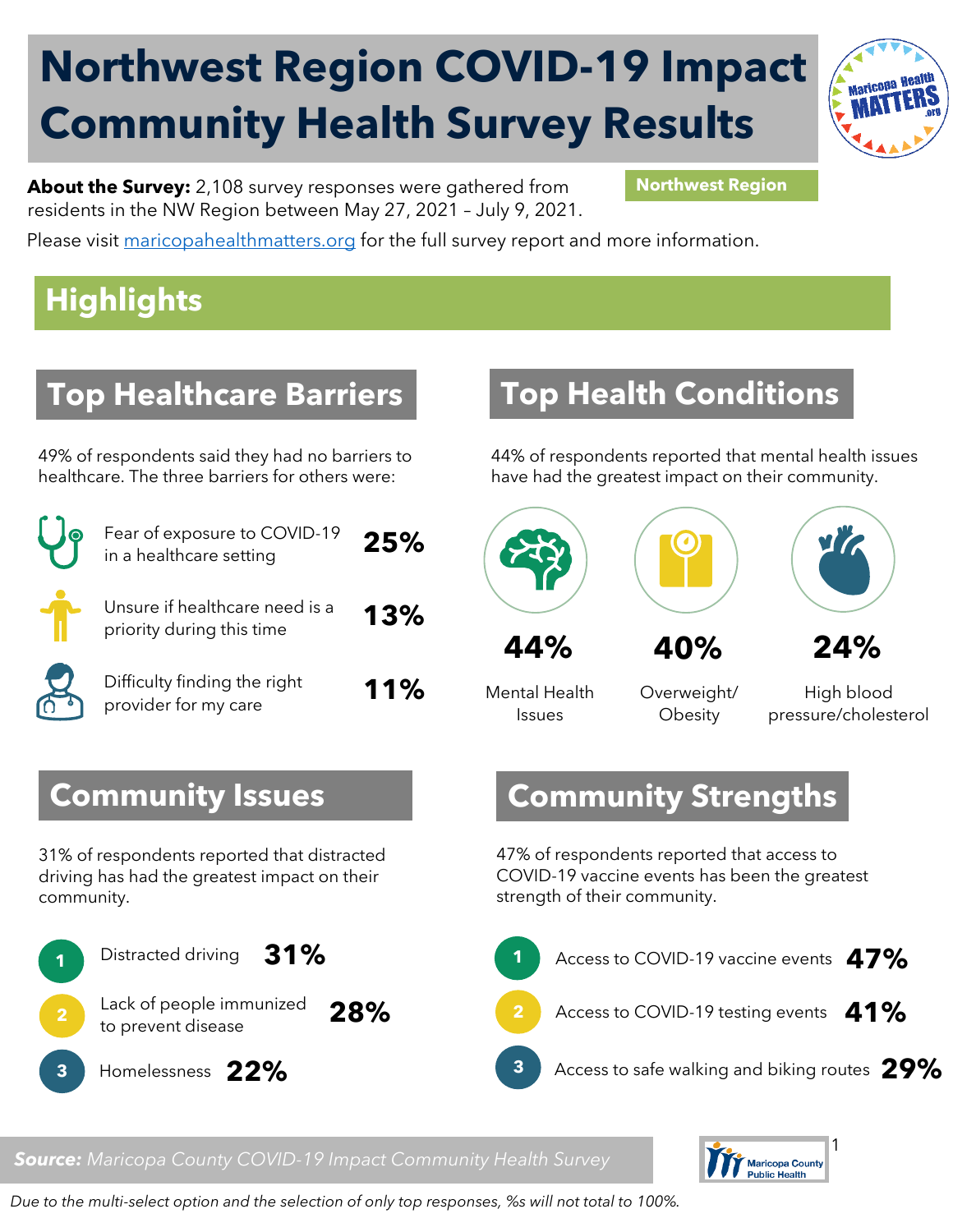# **Northwest Region COVID-19 Impact Community Health Survey Results**



**About the Survey:** 2,108 survey responses were gathered from **Northwest Region** residents in the NW Region between May 27, 2021 – July 9, 2021.

Please visit [maricopahealthmatters.org](https://www.maricopa.gov/5100/Health-Data-Maricopa-Health-Matters) for the full survey report and more information.

## **Highlights**

## **Top Healthcare Barriers**

49% of respondents said they had no barriers to healthcare. The three barriers for others were:

| Fear of exposure to COVID-19<br>in a healthcare setting     | 25% |
|-------------------------------------------------------------|-----|
| Unsure if healthcare need is a<br>priority during this time | 13% |
| Difficulty finding the right<br>provider for my care        | 11% |

#### **Top Health Conditions**

44% of respondents reported that mental health issues have had the greatest impact on their community.



Mental Health Issues

Overweight/ **Obesity** 

High blood pressure/cholesterol

#### **Community Strengths**

47% of respondents reported that access to COVID-19 vaccine events has been the greatest strength of their community.



#### *Source: Maricopa County COVID-19 Impact Community Health Survey*



*Due to the multi-select option and the selection of only top responses, %s will not total to 100%.* 

#### **Community Issues**

31% of respondents reported that distracted driving has had the greatest impact on their community.

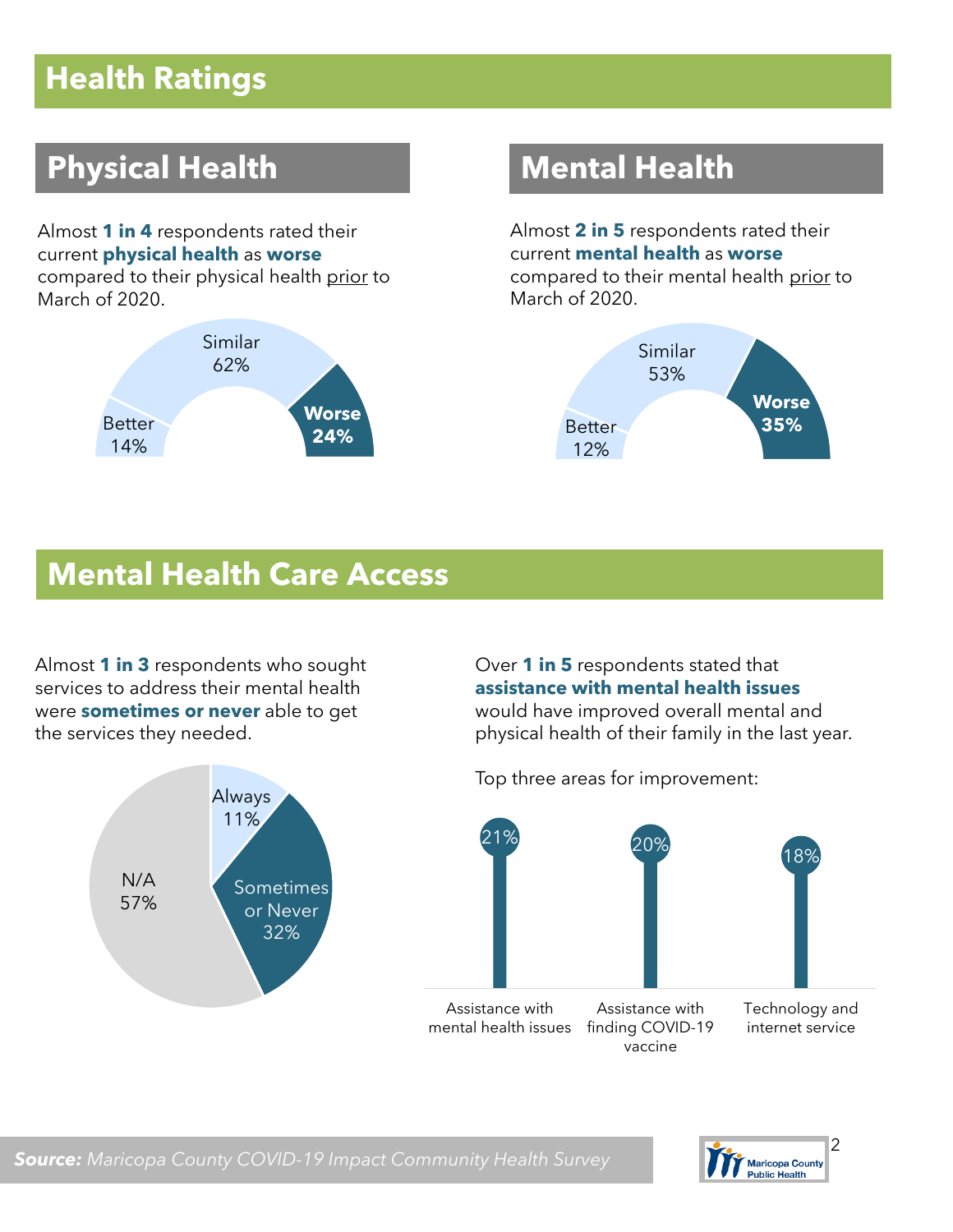### **Health Ratings**

## **Physical Health Mental Health**

Almost **1 in 4** respondents rated their current **physical health** as **worse**  compared to their physical health prior to March of 2020.



Almost **2 in 5** respondents rated their current **mental health** as **worse**  compared to their mental health prior to March of 2020.



#### **Mental Health Care Access**

Almost **1 in 3** respondents who sought services to address their mental health were **sometimes or never** able to get the services they needed.



Over **1 in 5** respondents stated that **assistance with mental health issues** would have improved overall mental and physical health of their family in the last year.

Top three areas for improvement:



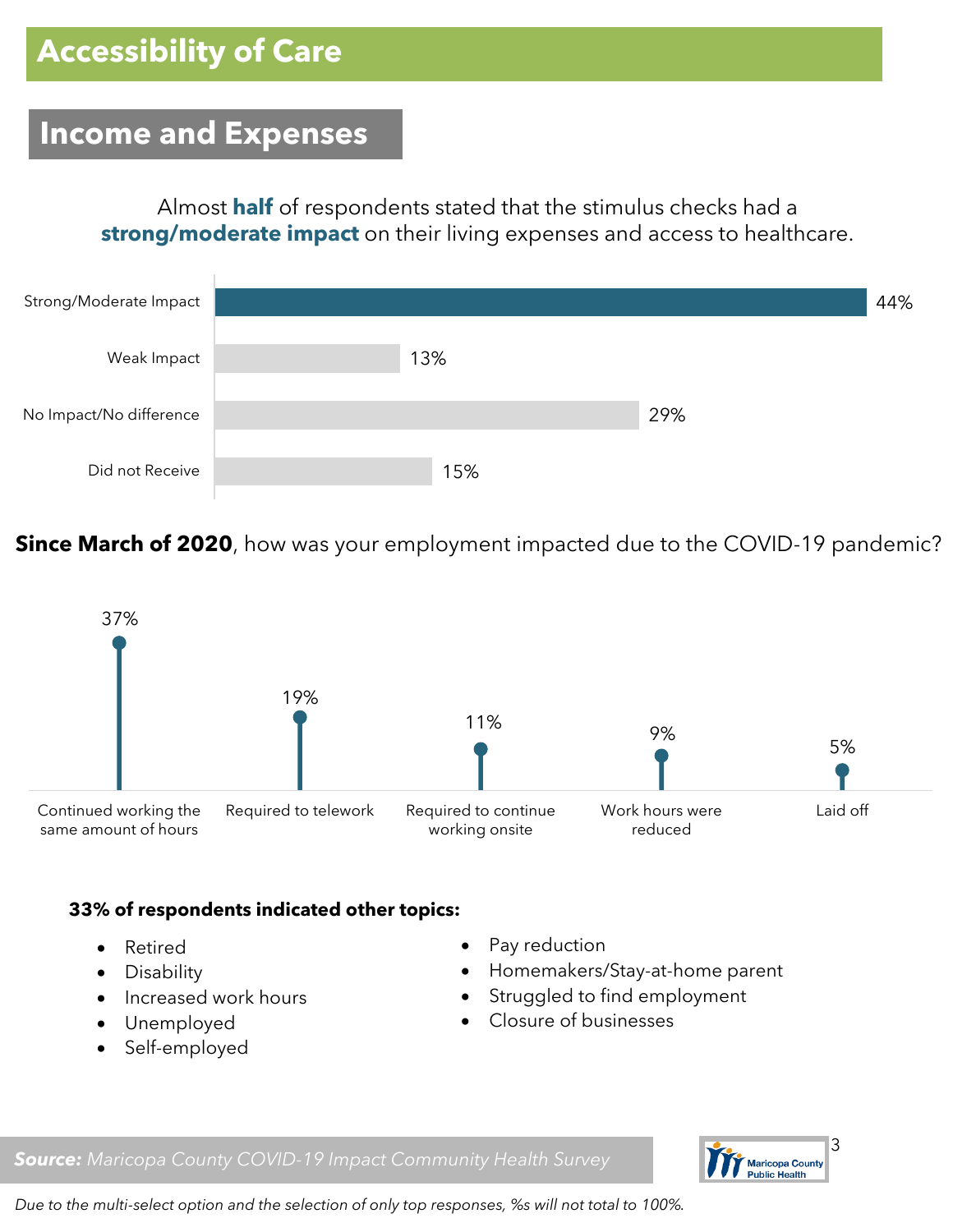#### **Income and Expenses**

Almost **half** of respondents stated that the stimulus checks had a **strong/moderate impact** on their living expenses and access to healthcare.



**Since March of 2020**, how was your employment impacted due to the COVID-19 pandemic?



#### **33% of respondents indicated other topics:**

- Retired
- Disability
- Increased work hours
- Unemployed
- Self-employed
- Pay reduction
- Homemakers/Stay-at-home parent
- Struggled to find employment
- Closure of businesses





*Due to the multi-select option and the selection of only top responses, %s will not total to 100%.*